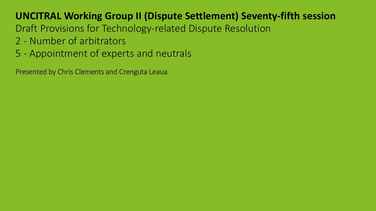Draft Provisions for Technology-related Dispute Resolution

- 2 Number of arbitrators
- 5 Appointment of experts and neutrals

Presented by Chris Clements and Crenguta Leaua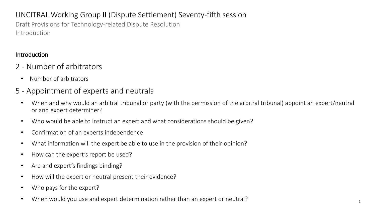Draft Provisions for Technology-related Dispute Resolution Introduction

#### Introduction

- 2 Number of arbitrators
	- Number of arbitrators

# 5 - Appointment of experts and neutrals

- When and why would an arbitral tribunal or party (with the permission of the arbitral tribunal) appoint an expert/neutral or and expert determiner?
- Who would be able to instruct an expert and what considerations should be given?
- Confirmation of an experts independence
- What information will the expert be able to use in the provision of their opinion?
- How can the expert's report be used?
- Are and expert's findings binding?
- How will the expert or neutral present their evidence?
- Who pays for the expert?
- When would you use and expert determination rather than an expert or neutral?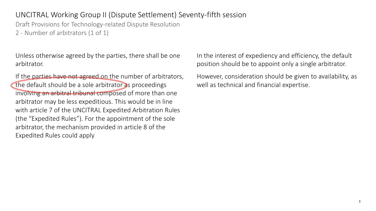Draft Provisions for Technology-related Dispute Resolution

2 - Number of arbitrators (1 of 1)

Unless otherwise agreed by the parties, there shall be one arbitrator.

If the parties have not agreed on the number of arbitrators, the default should be a sole arbitrator as proceedings involving an arbitral tribunal composed of more than one arbitrator may be less expeditious. This would be in line with article 7 of the UNCITRAL Expedited Arbitration Rules (the "Expedited Rules"). For the appointment of the sole arbitrator, the mechanism provided in article 8 of the Expedited Rules could apply

In the interest of expediency and efficiency, the default position should be to appoint only a single arbitrator.

However, consideration should be given to availability, as well as technical and financial expertise.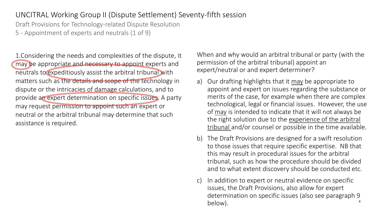Draft Provisions for Technology-related Dispute Resolution

5 - Appointment of experts and neutrals (1 of 9)

1.Considering the needs and complexities of the dispute, it may be appropriate and necessary to appoint experts and neutrals to expeditiously assist the arbitral tribunal with matters such as the details and scope of the technology in dispute or the intricacies of damage calculations, and to provide an expert determination on specific issues. A party may request permission to appoint such an expert or neutral or the arbitral tribunal may determine that such assistance is required.

When and why would an arbitral tribunal or party (with the permission of the arbitral tribunal) appoint an expert/neutral or and expert determiner?

- a) Our drafting highlights that it may be appropriate to appoint and expert on issues regarding the substance or merits of the case, for example when there are complex technological, legal or financial issues. However, the use of may is intended to indicate that it will not always be the right solution due to the experience of the arbitral tribunal and/or counsel or possible in the time available.
- b) The Draft Provisions are designed for a swift resolution to those issues that require specific expertise. NB that this may result in procedural issues for the arbitral tribunal, such as how the procedure should be divided and to what extent discovery should be conducted etc.
- 4 c) In addition to expert or neutral evidence on specific issues, the Draft Provisions, also allow for expert determination on specific issues (also see paragraph 9 below).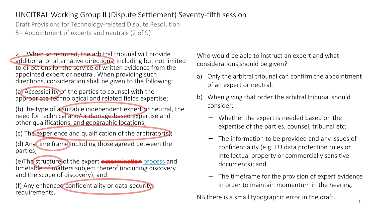Draft Provisions for Technology-related Dispute Resolution

5 - Appointment of experts and neutrals (2 of 9)

2. When so required, the arbitral tribunal will provide additional or alternative directions, including but not limited to directions for the service of written evidence from the appointed expert or neutral. When providing such directions, consideration shall be given to the following:

(a) Accessibility of the parties to counsel with the appropriate technological and related fields expertise;

(b)The type of a suitable independent expert or neutral, the need for technical and/or damage-based expertise and other qualifications, and geographic locations;

(c) The experience and qualification of the arbitrator(s);

(d) Any time frame including those agreed between the parties;

(e)The structure of the expert determination process and timetable of matters subject thereof (including discovery and the scope of discovery); and

(f) Any enhanced confidentiality or data-security requirements.

Who would be able to instruct an expert and what considerations should be given?

- a) Only the arbitral tribunal can confirm the appointment of an expert or neutral.
- b) When giving that order the arbitral tribunal should consider:
	- − Whether the expert is needed based on the expertise of the parties, counsel, tribunal etc;
	- − The information to be provided and any issues of confidentiality (e.g. EU data protection rules or intellectual property or commercially sensitive documents); and
	- − The timeframe for the provision of expert evidence in order to maintain momentum in the hearing.

NB there is a small typographic error in the draft.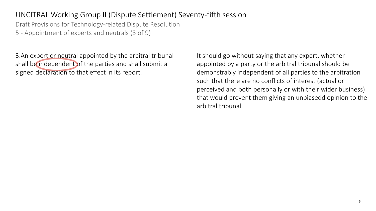Draft Provisions for Technology-related Dispute Resolution

5 - Appointment of experts and neutrals (3 of 9)

3.An expert or neutral appointed by the arbitral tribunal shall be independent of the parties and shall submit a signed declaration to that effect in its report.

It should go without saying that any expert, whether appointed by a party or the arbitral tribunal should be demonstrably independent of all parties to the arbitration such that there are no conflicts of interest (actual or perceived and both personally or with their wider business) that would prevent them giving an unbiasedd opinion to the arbitral tribunal.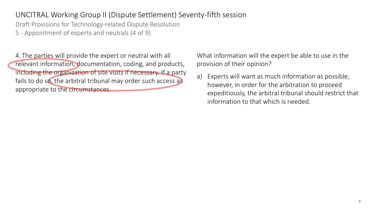Draft Provisions for Technology-related Dispute Resolution

5 - Appointment of experts and neutrals (4 of 9)

4. The parties will provide the expert or neutral with all relevant information, documentation, coding, and products, including the organization of site visits if necessary. If a party fails to do so, the arbitral tribunal may order such access as appropriate to the circumstances.

What information will the expert be able to use in the provision of their opinion?

a) Experts will want as much information as possible, however, in order for the arbitration to proceed expeditiously, the arbitral tribunal should restrict that information to that which is needed.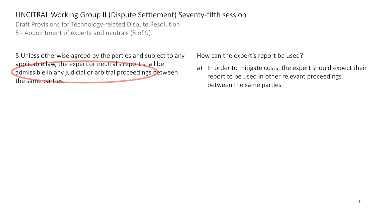Draft Provisions for Technology-related Dispute Resolution

5 - Appointment of experts and neutrals (5 of 9)

5.Unless otherwise agreed by the parties and subject to any applicable law, the expert or neutral's report shall be admissible in any judicial or arbitral proceedings between the same parties.

How can the expert's report be used?

a) In order to mitigate costs, the expert should expect their report to be used in other relevant proceedings between the same parties.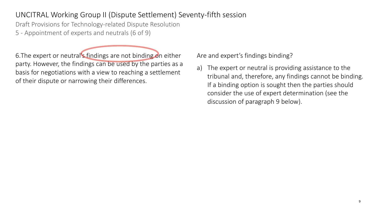Draft Provisions for Technology-related Dispute Resolution

5 - Appointment of experts and neutrals (6 of 9)

6.The expert or neutral's findings are not binding on either party. However, the findings can be used by the parties as a basis for negotiations with a view to reaching a settlement of their dispute or narrowing their differences.

Are and expert's findings binding?

a) The expert or neutral is providing assistance to the tribunal and, therefore, any findings cannot be binding. If a binding option is sought then the parties should consider the use of expert determination (see the discussion of paragraph 9 below).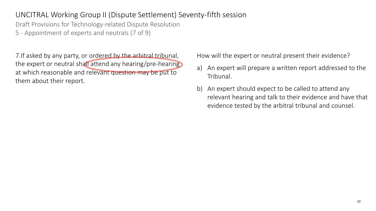Draft Provisions for Technology-related Dispute Resolution

5 - Appointment of experts and neutrals (7 of 9)

7.If asked by any party, or ordered by the arbitral tribunal, the expert or neutral shall attend any hearing/pre-hearing at which reasonable and relevant question may be put to them about their report.

How will the expert or neutral present their evidence?

- a) An expert will prepare a written report addressed to the Tribunal.
- b) An expert should expect to be called to attend any relevant hearing and talk to their evidence and have that evidence tested by the arbitral tribunal and counsel.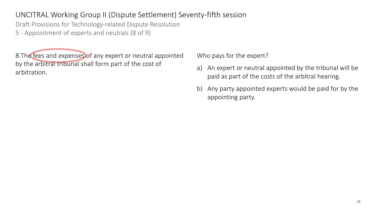Draft Provisions for Technology-related Dispute Resolution

5 - Appointment of experts and neutrals (8 of 9)

8.The fees and expenses of any expert or neutral appointed by the arbitral tribunal shall form part of the cost of arbitration.

Who pays for the expert?

- a) An expert or neutral appointed by the tribunal will be paid as part of the costs of the arbitral hearing.
- b) Any party appointed experts would be paid for by the appointing party.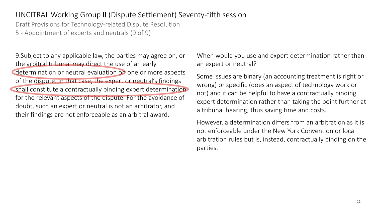Draft Provisions for Technology-related Dispute Resolution

5 - Appointment of experts and neutrals (9 of 9)

9.Subject to any applicable law, the parties may agree on, or the arbitral tribunal may direct the use of an early determination or neutral evaluation on one or more aspects of the dispute. In that case, the expert or neutral's findings shall constitute a contractually binding expert determination for the relevant aspects of the dispute. For the avoidance of doubt, such an expert or neutral is not an arbitrator, and their findings are not enforceable as an arbitral award.

When would you use and expert determination rather than an expert or neutral?

Some issues are binary (an accounting treatment is right or wrong) or specific (does an aspect of technology work or not) and it can be helpful to have a contractually binding expert determination rather than taking the point further at a tribunal hearing, thus saving time and costs.

However, a determination differs from an arbitration as it is not enforceable under the New York Convention or local arbitration rules but is, instead, contractually binding on the parties.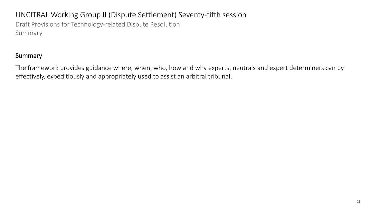# UNCITRAL Working Group II (Dispute Settlement) Seventy-fifth session Draft Provisions for Technology-related Dispute Resolution Summary

#### **Summary**

The framework provides guidance where, when, who, how and why experts, neutrals and expert determiners can by effectively, expeditiously and appropriately used to assist an arbitral tribunal.